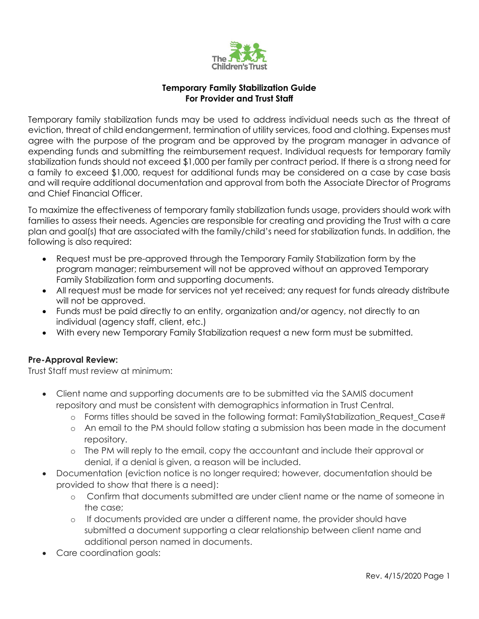

#### **Temporary Family Stabilization Guide For Provider and Trust Staff**

Temporary family stabilization funds may be used to address individual needs such as the threat of eviction, threat of child endangerment, termination of utility services, food and clothing. Expenses must agree with the purpose of the program and be approved by the program manager in advance of expending funds and submitting the reimbursement request. Individual requests for temporary family stabilization funds should not exceed \$1,000 per family per contract period. If there is a strong need for a family to exceed \$1,000, request for additional funds may be considered on a case by case basis and will require additional documentation and approval from both the Associate Director of Programs and Chief Financial Officer.

To maximize the effectiveness of temporary family stabilization funds usage, providers should work with families to assess their needs. Agencies are responsible for creating and providing the Trust with a care plan and goal(s) that are associated with the family/child's need for stabilization funds. In addition, the following is also required:

- Request must be pre-approved through the Temporary Family Stabilization form by the program manager; reimbursement will not be approved without an approved Temporary Family Stabilization form and supporting documents.
- All request must be made for services not yet received; any request for funds already distribute will not be approved.
- Funds must be paid directly to an entity, organization and/or agency, not directly to an individual (agency staff, client, etc.)
- With every new Temporary Family Stabilization request a new form must be submitted.

### **Pre-Approval Review:**

Trust Staff must review at minimum:

- Client name and supporting documents are to be submitted via the SAMIS document repository and must be consistent with demographics information in Trust Central.
	- o Forms titles should be saved in the following format: FamilyStabilization\_Request\_Case#
	- o An email to the PM should follow stating a submission has been made in the document repository.
	- o The PM will reply to the email, copy the accountant and include their approval or denial, if a denial is given, a reason will be included.
- Documentation (eviction notice is no longer required; however, documentation should be provided to show that there is a need):
	- o Confirm that documents submitted are under client name or the name of someone in the case;
	- o If documents provided are under a different name, the provider should have submitted a document supporting a clear relationship between client name and additional person named in documents.
- Care coordination goals: